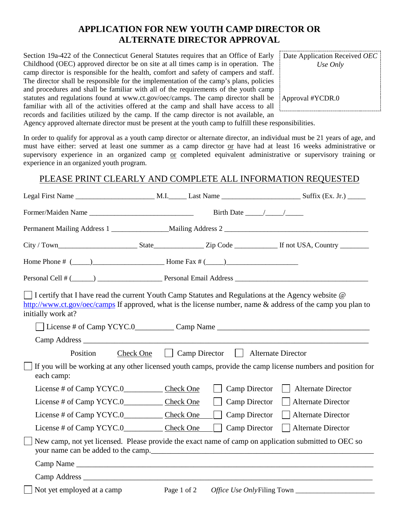## **APPLICATION FOR NEW YOUTH CAMP DIRECTOR OR ALTERNATE DIRECTOR APPROVAL**

Section 19a-422 of the Connecticut General Statutes requires that an Office of Early Childhood (OEC) approved director be on site at all times camp is in operation. The camp director is responsible for the health, comfort and safety of campers and staff. The director shall be responsible for the implementation of the camp's plans, policies and procedures and shall be familiar with all of the requirements of the youth camp statutes and regulations found at www.ct.gov/oec/camps. The camp director shall be familiar with all of the activities offered at the camp and shall have access to all records and facilities utilized by the camp. If the camp director is not available, an

Date Application Received *OEC Use Only*

Approval #YCDR.0

Agency approved alternate director must be present at the youth camp to fulfill these responsibilities.

In order to qualify for approval as a youth camp director or alternate director, an individual must be 21 years of age, and must have either: served at least one summer as a camp director or have had at least 16 weeks administrative or supervisory experience in an organized camp or completed equivalent administrative or supervisory training or experience in an organized youth program.

## PLEASE PRINT CLEARLY AND COMPLETE ALL INFORMATION REQUESTED

| Home Phone # $(\_\_\_\_\_$                                                                                                                                                                                                                   |           |               |                                 |                                                                                                             |
|----------------------------------------------------------------------------------------------------------------------------------------------------------------------------------------------------------------------------------------------|-----------|---------------|---------------------------------|-------------------------------------------------------------------------------------------------------------|
|                                                                                                                                                                                                                                              |           |               |                                 |                                                                                                             |
| I certify that I have read the current Youth Camp Statutes and Regulations at the Agency website $\Phi$<br>http://www.ct.gov/oec/camps If approved, what is the license number, name & address of the camp you plan to<br>initially work at? |           |               |                                 |                                                                                                             |
|                                                                                                                                                                                                                                              |           |               |                                 |                                                                                                             |
|                                                                                                                                                                                                                                              |           |               |                                 |                                                                                                             |
| Position                                                                                                                                                                                                                                     | Check One | Camp Director | Alternate Director              |                                                                                                             |
| each camp:                                                                                                                                                                                                                                   |           |               |                                 | If you will be working at any other licensed youth camps, provide the camp license numbers and position for |
| License # of Camp YCYC.0________________Check One                                                                                                                                                                                            |           |               | Camp Director                   | <b>Alternate Director</b>                                                                                   |
|                                                                                                                                                                                                                                              |           |               | <b>Camp Director</b>            | <b>Alternate Director</b>                                                                                   |
| License # of Camp YCYC.0_________________Check One                                                                                                                                                                                           |           |               | <b>Camp Director</b>            | <b>Alternate Director</b>                                                                                   |
| License # of Camp YCYC.0_________________Check One                                                                                                                                                                                           |           |               | <b>Camp Director</b><br>$\perp$ | Alternate Director                                                                                          |
| New camp, not yet licensed. Please provide the exact name of camp on application submitted to OEC so<br>your name can be added to the camp.                                                                                                  |           |               |                                 |                                                                                                             |
|                                                                                                                                                                                                                                              |           |               |                                 |                                                                                                             |
|                                                                                                                                                                                                                                              |           |               |                                 |                                                                                                             |
| Not yet employed at a camp                                                                                                                                                                                                                   |           | Page 1 of 2   | Office Use OnlyFiling Town      |                                                                                                             |